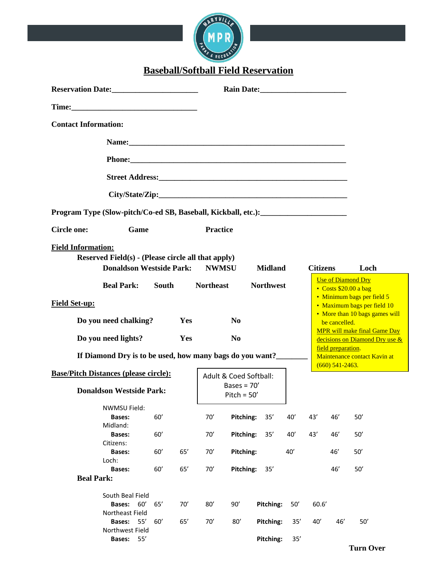

**Baseball/Softball Field Reservation**

| <b>Contact Information:</b>                                                                                        |              |     |                  |                                |                  |     |                 |                    |                                                                       |
|--------------------------------------------------------------------------------------------------------------------|--------------|-----|------------------|--------------------------------|------------------|-----|-----------------|--------------------|-----------------------------------------------------------------------|
|                                                                                                                    |              |     |                  |                                |                  |     |                 |                    |                                                                       |
|                                                                                                                    |              |     |                  |                                |                  |     |                 |                    |                                                                       |
|                                                                                                                    |              |     |                  |                                |                  |     |                 |                    |                                                                       |
|                                                                                                                    |              |     |                  |                                |                  |     |                 |                    |                                                                       |
| Program Type (Slow-pitch/Co-ed SB, Baseball, Kickball, etc.): ___________________                                  |              |     |                  |                                |                  |     |                 |                    |                                                                       |
| Game<br><b>Circle one:</b>                                                                                         |              |     | <b>Practice</b>  |                                |                  |     |                 |                    |                                                                       |
| <b>Field Information:</b><br>Reserved Field(s) - (Please circle all that apply)<br><b>Donaldson Westside Park:</b> |              |     | <b>NWMSU</b>     |                                | <b>Midland</b>   |     | <b>Citizens</b> |                    | Loch                                                                  |
| <b>Beal Park:</b>                                                                                                  | <b>South</b> |     | <b>Northeast</b> |                                | <b>Northwest</b> |     |                 |                    | <b>Use of Diamond Dry</b><br>• Costs \$20.00 a bag                    |
| <b>Field Set-up:</b>                                                                                               |              |     |                  |                                |                  |     |                 |                    | • Minimum bags per field 5<br>• Maximum bags per field 10             |
| Do you need chalking?                                                                                              |              | Yes |                  | N <sub>0</sub>                 |                  |     |                 | be cancelled.      | • More than 10 bags games will                                        |
| Do you need lights?                                                                                                |              | Yes |                  | N <sub>0</sub>                 |                  |     |                 |                    | <b>MPR</b> will make final Game Day<br>decisions on Diamond Dry use & |
| If Diamond Dry is to be used, how many bags do you want?______                                                     |              |     |                  |                                |                  |     |                 | field preparation. | Maintenance contact Kavin at                                          |
| <b>Base/Pitch Distances (please circle):</b>                                                                       |              |     |                  | Adult & Coed Softball:         |                  |     |                 | $(660)$ 541-2463.  |                                                                       |
| <b>Donaldson Westside Park:</b>                                                                                    |              |     |                  | Bases = $70'$<br>Pitch = $50'$ |                  |     |                 |                    |                                                                       |
| NWMSU Field:<br><b>Bases:</b><br>Midland:                                                                          | 60'          |     | 70'              | Pitching:                      | 35'              | 40' | 43'             | 46'                | 50'                                                                   |
| <b>Bases:</b><br>Citizens:                                                                                         | 60'          |     | 70'              | Pitching:                      | 35'              | 40' | 43'             | 46'                | 50'                                                                   |
| <b>Bases:</b><br>Loch:                                                                                             | 60'          | 65' | 70'              | Pitching:                      |                  | 40' |                 | 46'                | 50'                                                                   |
| <b>Bases:</b><br><b>Beal Park:</b>                                                                                 | 60'          | 65' | 70'              | Pitching:                      | 35'              |     |                 | 46'                | 50'                                                                   |
| South Beal Field<br>Bases: 60'<br>Northeast Field                                                                  | 65'          | 70' | 80'              | 90'                            | Pitching:        | 50' | 60.6'           |                    |                                                                       |
| <b>Bases:</b><br>55'<br>Northwest Field                                                                            | 60'          | 65' | 70'              | 80'                            | Pitching:        | 35' | 40'             | 46'                | 50'                                                                   |
| 55'<br><b>Bases:</b>                                                                                               |              |     |                  |                                | Pitching:        | 35' |                 |                    | <b>Turn Over</b>                                                      |